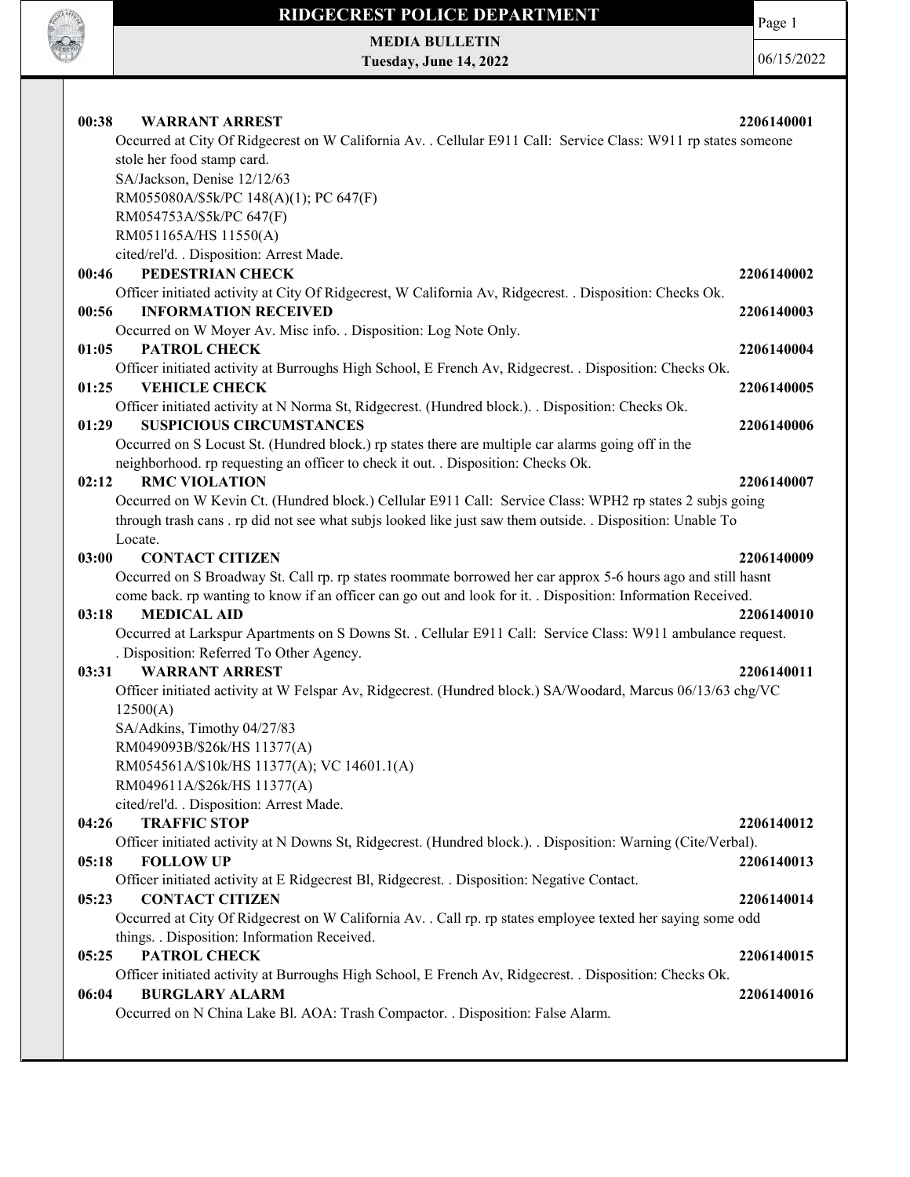

MEDIA BULLETIN Tuesday, June 14, 2022 Page 1

06/15/2022

| 00:38<br><b>WARRANT ARREST</b>                                                                                 | 2206140001 |
|----------------------------------------------------------------------------------------------------------------|------------|
| Occurred at City Of Ridgecrest on W California Av. . Cellular E911 Call: Service Class: W911 rp states someone |            |
| stole her food stamp card.                                                                                     |            |
| SA/Jackson, Denise 12/12/63                                                                                    |            |
| RM055080A/\$5k/PC 148(A)(1); PC 647(F)                                                                         |            |
| RM054753A/\$5k/PC 647(F)                                                                                       |            |
|                                                                                                                |            |
| RM051165A/HS 11550(A)                                                                                          |            |
| cited/rel'd. . Disposition: Arrest Made.<br>PEDESTRIAN CHECK                                                   |            |
| 00:46                                                                                                          | 2206140002 |
| Officer initiated activity at City Of Ridgecrest, W California Av, Ridgecrest. . Disposition: Checks Ok.       |            |
| 00:56<br><b>INFORMATION RECEIVED</b>                                                                           | 2206140003 |
| Occurred on W Moyer Av. Misc info. . Disposition: Log Note Only.                                               |            |
| 01:05<br><b>PATROL CHECK</b>                                                                                   | 2206140004 |
| Officer initiated activity at Burroughs High School, E French Av, Ridgecrest. . Disposition: Checks Ok.        |            |
| <b>VEHICLE CHECK</b><br>01:25                                                                                  | 2206140005 |
| Officer initiated activity at N Norma St, Ridgecrest. (Hundred block.). . Disposition: Checks Ok.              |            |
| <b>SUSPICIOUS CIRCUMSTANCES</b><br>01:29                                                                       | 2206140006 |
| Occurred on S Locust St. (Hundred block.) rp states there are multiple car alarms going off in the             |            |
| neighborhood. rp requesting an officer to check it out. . Disposition: Checks Ok.                              |            |
| <b>RMC VIOLATION</b><br>02:12                                                                                  | 2206140007 |
| Occurred on W Kevin Ct. (Hundred block.) Cellular E911 Call: Service Class: WPH2 rp states 2 subjs going       |            |
| through trash cans. rp did not see what subjs looked like just saw them outside. . Disposition: Unable To      |            |
| Locate.                                                                                                        |            |
| 03:00<br><b>CONTACT CITIZEN</b>                                                                                | 2206140009 |
| Occurred on S Broadway St. Call rp. rp states roommate borrowed her car approx 5-6 hours ago and still hasnt   |            |
| come back. rp wanting to know if an officer can go out and look for it. . Disposition: Information Received.   |            |
| 03:18<br><b>MEDICAL AID</b>                                                                                    | 2206140010 |
| Occurred at Larkspur Apartments on S Downs St. . Cellular E911 Call: Service Class: W911 ambulance request.    |            |
| . Disposition: Referred To Other Agency.                                                                       |            |
| <b>WARRANT ARREST</b><br>03:31                                                                                 | 2206140011 |
| Officer initiated activity at W Felspar Av, Ridgecrest. (Hundred block.) SA/Woodard, Marcus 06/13/63 chg/VC    |            |
| 12500(A)                                                                                                       |            |
| SA/Adkins, Timothy 04/27/83                                                                                    |            |
| RM049093B/\$26k/HS 11377(A)                                                                                    |            |
| RM054561A/\$10k/HS 11377(A); VC 14601.1(A)                                                                     |            |
| RM049611A/\$26k/HS 11377(A)                                                                                    |            |
| cited/rel'd. . Disposition: Arrest Made.                                                                       |            |
| <b>TRAFFIC STOP</b><br>04:26                                                                                   | 2206140012 |
| Officer initiated activity at N Downs St, Ridgecrest. (Hundred block.). . Disposition: Warning (Cite/Verbal).  |            |
| <b>FOLLOW UP</b><br>05:18                                                                                      | 2206140013 |
| Officer initiated activity at E Ridgecrest Bl, Ridgecrest. . Disposition: Negative Contact.                    |            |
| <b>CONTACT CITIZEN</b><br>05:23                                                                                | 2206140014 |
| Occurred at City Of Ridgecrest on W California Av. . Call rp. rp states employee texted her saying some odd    |            |
| things. . Disposition: Information Received.                                                                   |            |
| PATROL CHECK<br>05:25                                                                                          | 2206140015 |
| Officer initiated activity at Burroughs High School, E French Av, Ridgecrest. . Disposition: Checks Ok.        |            |
| 06:04<br><b>BURGLARY ALARM</b>                                                                                 | 2206140016 |
| Occurred on N China Lake Bl. AOA: Trash Compactor. . Disposition: False Alarm.                                 |            |
|                                                                                                                |            |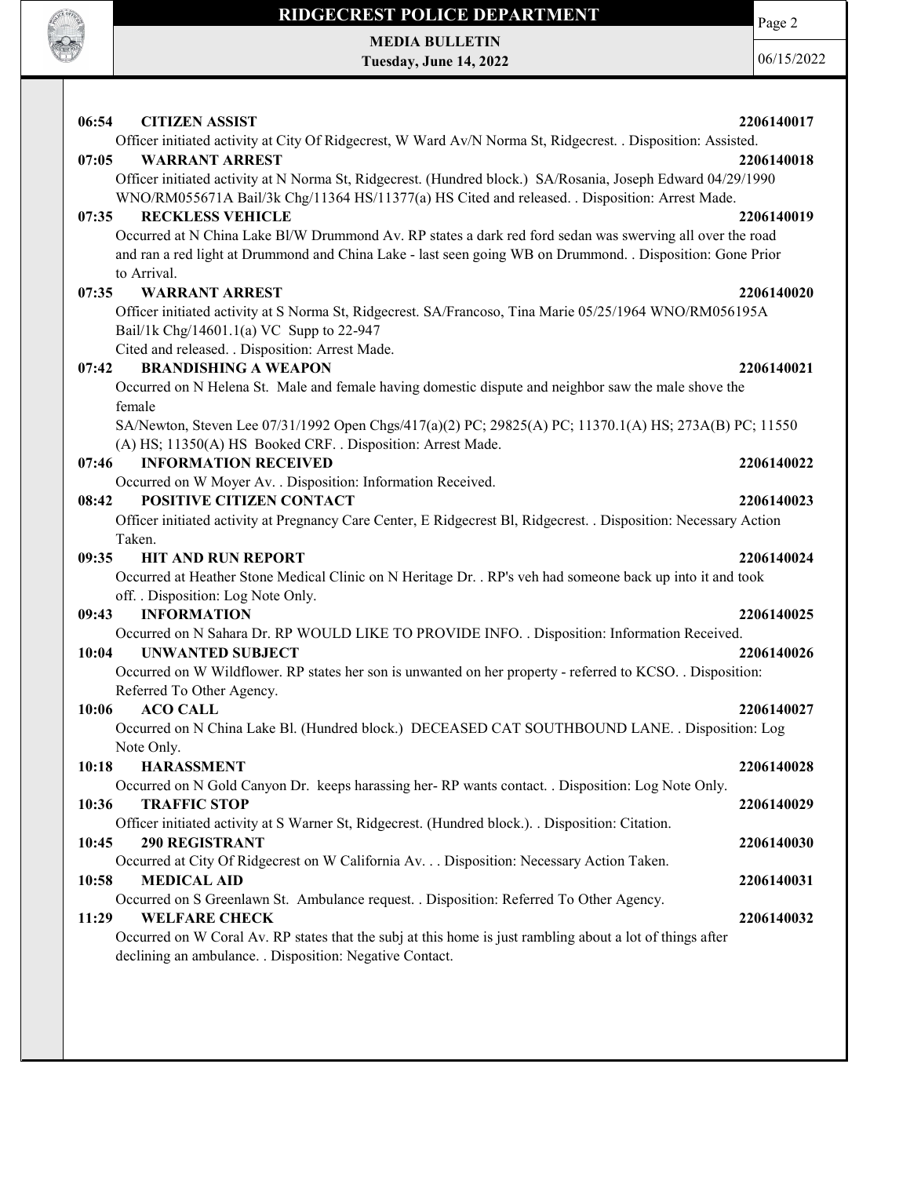

MEDIA BULLETIN Tuesday, June 14, 2022 Page 2

06/15/2022

| 06:54 | <b>CITIZEN ASSIST</b><br>Officer initiated activity at City Of Ridgecrest, W Ward Av/N Norma St, Ridgecrest. . Disposition: Assisted. | 2206140017 |
|-------|---------------------------------------------------------------------------------------------------------------------------------------|------------|
| 07:05 | <b>WARRANT ARREST</b>                                                                                                                 | 2206140018 |
|       | Officer initiated activity at N Norma St, Ridgecrest. (Hundred block.) SA/Rosania, Joseph Edward 04/29/1990                           |            |
|       | WNO/RM055671A Bail/3k Chg/11364 HS/11377(a) HS Cited and released. . Disposition: Arrest Made.                                        |            |
| 07:35 | <b>RECKLESS VEHICLE</b>                                                                                                               | 2206140019 |
|       | Occurred at N China Lake Bl/W Drummond Av. RP states a dark red ford sedan was swerving all over the road                             |            |
|       | and ran a red light at Drummond and China Lake - last seen going WB on Drummond. . Disposition: Gone Prior                            |            |
|       | to Arrival.                                                                                                                           |            |
| 07:35 | <b>WARRANT ARREST</b><br>Officer initiated activity at S Norma St, Ridgecrest. SA/Francoso, Tina Marie 05/25/1964 WNO/RM056195A       | 2206140020 |
|       | Bail/1k Chg/14601.1(a) VC Supp to 22-947                                                                                              |            |
|       | Cited and released. . Disposition: Arrest Made.                                                                                       |            |
| 07:42 | <b>BRANDISHING A WEAPON</b>                                                                                                           | 2206140021 |
|       | Occurred on N Helena St. Male and female having domestic dispute and neighbor saw the male shove the                                  |            |
|       | female                                                                                                                                |            |
|       | SA/Newton, Steven Lee 07/31/1992 Open Chgs/417(a)(2) PC; 29825(A) PC; 11370.1(A) HS; 273A(B) PC; 11550                                |            |
|       | (A) HS; 11350(A) HS Booked CRF. . Disposition: Arrest Made.                                                                           |            |
| 07:46 | <b>INFORMATION RECEIVED</b>                                                                                                           | 2206140022 |
|       | Occurred on W Moyer Av. . Disposition: Information Received.                                                                          |            |
| 08:42 | POSITIVE CITIZEN CONTACT                                                                                                              | 2206140023 |
|       | Officer initiated activity at Pregnancy Care Center, E Ridgecrest Bl, Ridgecrest. . Disposition: Necessary Action                     |            |
|       | Taken.                                                                                                                                |            |
| 09:35 |                                                                                                                                       |            |
|       | <b>HIT AND RUN REPORT</b>                                                                                                             | 2206140024 |
|       | Occurred at Heather Stone Medical Clinic on N Heritage Dr. . RP's veh had someone back up into it and took                            |            |
|       | off. . Disposition: Log Note Only.                                                                                                    |            |
| 09:43 | <b>INFORMATION</b>                                                                                                                    | 2206140025 |
| 10:04 | Occurred on N Sahara Dr. RP WOULD LIKE TO PROVIDE INFO. . Disposition: Information Received.<br><b>UNWANTED SUBJECT</b>               | 2206140026 |
|       | Occurred on W Wildflower. RP states her son is unwanted on her property - referred to KCSO. . Disposition:                            |            |
|       | Referred To Other Agency.                                                                                                             |            |
| 10:06 | <b>ACO CALL</b>                                                                                                                       | 2206140027 |
|       | Occurred on N China Lake Bl. (Hundred block.) DECEASED CAT SOUTHBOUND LANE. . Disposition: Log                                        |            |
|       | Note Only.                                                                                                                            |            |
| 10:18 | <b>HARASSMENT</b>                                                                                                                     | 2206140028 |
|       | Occurred on N Gold Canyon Dr. keeps harassing her-RP wants contact. Disposition: Log Note Only.                                       |            |
| 10:36 | <b>TRAFFIC STOP</b>                                                                                                                   | 2206140029 |
|       | Officer initiated activity at S Warner St, Ridgecrest. (Hundred block.). . Disposition: Citation.                                     |            |
| 10:45 | <b>290 REGISTRANT</b>                                                                                                                 | 2206140030 |
|       | Occurred at City Of Ridgecrest on W California Av. Disposition: Necessary Action Taken.                                               |            |
| 10:58 | <b>MEDICAL AID</b>                                                                                                                    | 2206140031 |
| 11:29 | Occurred on S Greenlawn St. Ambulance request. . Disposition: Referred To Other Agency.<br><b>WELFARE CHECK</b>                       | 2206140032 |
|       | Occurred on W Coral Av. RP states that the subj at this home is just rambling about a lot of things after                             |            |
|       | declining an ambulance. . Disposition: Negative Contact.                                                                              |            |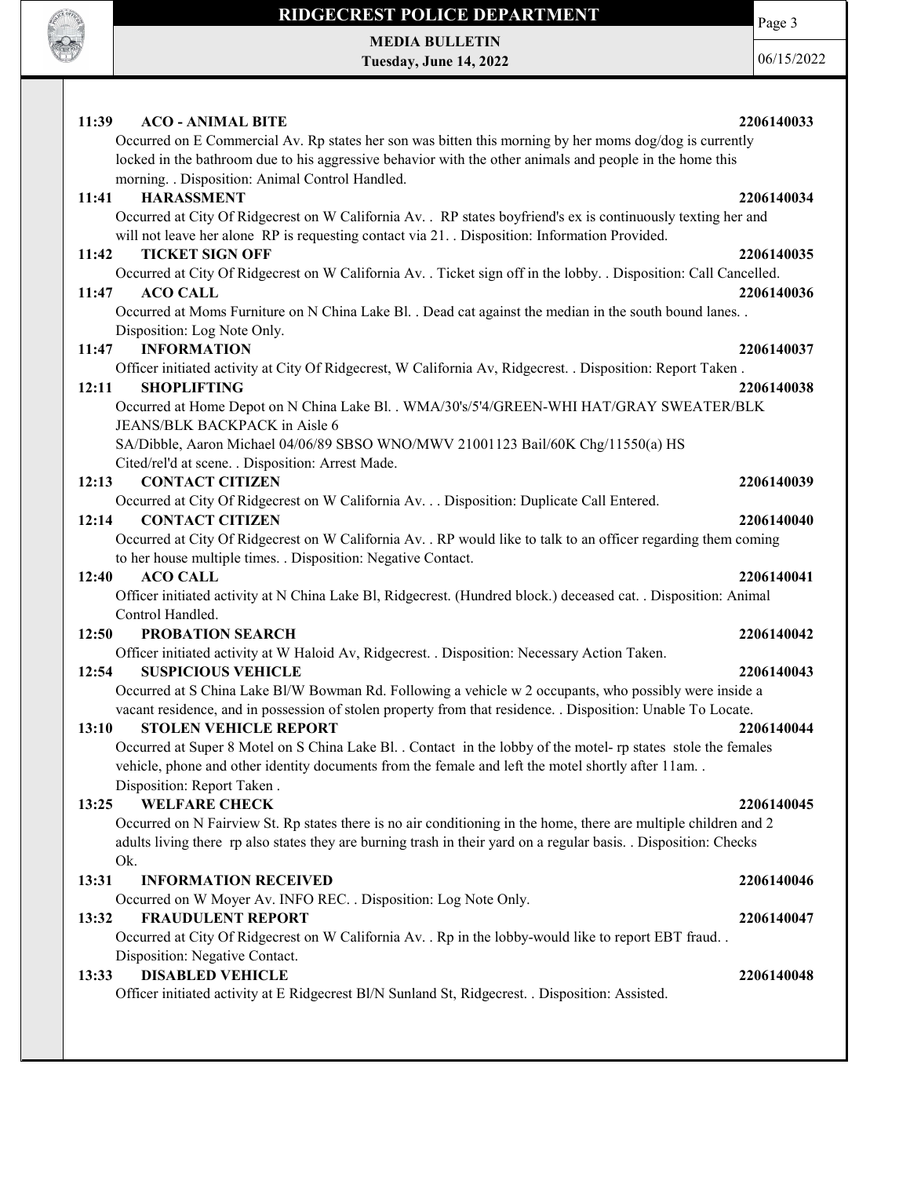

## RIDGECREST POLICE DEPARTMENT MEDIA BULLETIN

Tuesday, June 14, 2022

06/15/2022

Page 3

| 11:39 | <b>ACO - ANIMAL BITE</b>                                                                                                             | 2206140033 |
|-------|--------------------------------------------------------------------------------------------------------------------------------------|------------|
|       | Occurred on E Commercial Av. Rp states her son was bitten this morning by her moms dog/dog is currently                              |            |
|       | locked in the bathroom due to his aggressive behavior with the other animals and people in the home this                             |            |
|       | morning. . Disposition: Animal Control Handled.                                                                                      |            |
| 11:41 | <b>HARASSMENT</b>                                                                                                                    | 2206140034 |
|       | Occurred at City Of Ridgecrest on W California Av. . RP states boyfriend's ex is continuously texting her and                        |            |
|       | will not leave her alone RP is requesting contact via 21. Disposition: Information Provided.                                         |            |
| 11:42 | <b>TICKET SIGN OFF</b>                                                                                                               | 2206140035 |
| 11:47 | Occurred at City Of Ridgecrest on W California Av. . Ticket sign off in the lobby. . Disposition: Call Cancelled.<br><b>ACO CALL</b> | 2206140036 |
|       | Occurred at Moms Furniture on N China Lake Bl. . Dead cat against the median in the south bound lanes. .                             |            |
|       | Disposition: Log Note Only.                                                                                                          |            |
| 11:47 | <b>INFORMATION</b>                                                                                                                   | 2206140037 |
|       | Officer initiated activity at City Of Ridgecrest, W California Av, Ridgecrest. . Disposition: Report Taken.                          |            |
| 12:11 | <b>SHOPLIFTING</b>                                                                                                                   | 2206140038 |
|       | Occurred at Home Depot on N China Lake Bl. . WMA/30's/5'4/GREEN-WHI HAT/GRAY SWEATER/BLK                                             |            |
|       | JEANS/BLK BACKPACK in Aisle 6                                                                                                        |            |
|       | SA/Dibble, Aaron Michael 04/06/89 SBSO WNO/MWV 21001123 Bail/60K Chg/11550(a) HS                                                     |            |
|       | Cited/rel'd at scene. . Disposition: Arrest Made.                                                                                    |            |
| 12:13 | <b>CONTACT CITIZEN</b>                                                                                                               | 2206140039 |
|       | Occurred at City Of Ridgecrest on W California Av. Disposition: Duplicate Call Entered.                                              |            |
| 12:14 | <b>CONTACT CITIZEN</b>                                                                                                               | 2206140040 |
|       | Occurred at City Of Ridgecrest on W California Av. . RP would like to talk to an officer regarding them coming                       |            |
|       | to her house multiple times. . Disposition: Negative Contact.                                                                        |            |
|       |                                                                                                                                      |            |
| 12:40 | <b>ACO CALL</b>                                                                                                                      | 2206140041 |
|       | Officer initiated activity at N China Lake Bl, Ridgecrest. (Hundred block.) deceased cat. . Disposition: Animal                      |            |
|       | Control Handled.                                                                                                                     |            |
| 12:50 | PROBATION SEARCH                                                                                                                     | 2206140042 |
|       | Officer initiated activity at W Haloid Av, Ridgecrest. . Disposition: Necessary Action Taken.                                        |            |
| 12:54 | <b>SUSPICIOUS VEHICLE</b>                                                                                                            | 2206140043 |
|       | Occurred at S China Lake Bl/W Bowman Rd. Following a vehicle w 2 occupants, who possibly were inside a                               |            |
|       | vacant residence, and in possession of stolen property from that residence. . Disposition: Unable To Locate.                         |            |
| 13:10 | <b>STOLEN VEHICLE REPORT</b>                                                                                                         | 2206140044 |
|       | Occurred at Super 8 Motel on S China Lake Bl. . Contact in the lobby of the motel- rp states stole the females                       |            |
|       | vehicle, phone and other identity documents from the female and left the motel shortly after 11am                                    |            |
|       | Disposition: Report Taken.                                                                                                           |            |
| 13:25 | <b>WELFARE CHECK</b>                                                                                                                 | 2206140045 |
|       | Occurred on N Fairview St. Rp states there is no air conditioning in the home, there are multiple children and 2                     |            |
|       | adults living there rp also states they are burning trash in their yard on a regular basis. . Disposition: Checks                    |            |
|       | Ok.                                                                                                                                  |            |
| 13:31 | <b>INFORMATION RECEIVED</b>                                                                                                          | 2206140046 |
|       | Occurred on W Moyer Av. INFO REC. . Disposition: Log Note Only.                                                                      |            |
| 13:32 | <b>FRAUDULENT REPORT</b>                                                                                                             | 2206140047 |
|       | Occurred at City Of Ridgecrest on W California Av. . Rp in the lobby-would like to report EBT fraud. .                               |            |
|       | Disposition: Negative Contact.                                                                                                       |            |
| 13:33 | <b>DISABLED VEHICLE</b>                                                                                                              | 2206140048 |
|       | Officer initiated activity at E Ridgecrest Bl/N Sunland St, Ridgecrest. . Disposition: Assisted.                                     |            |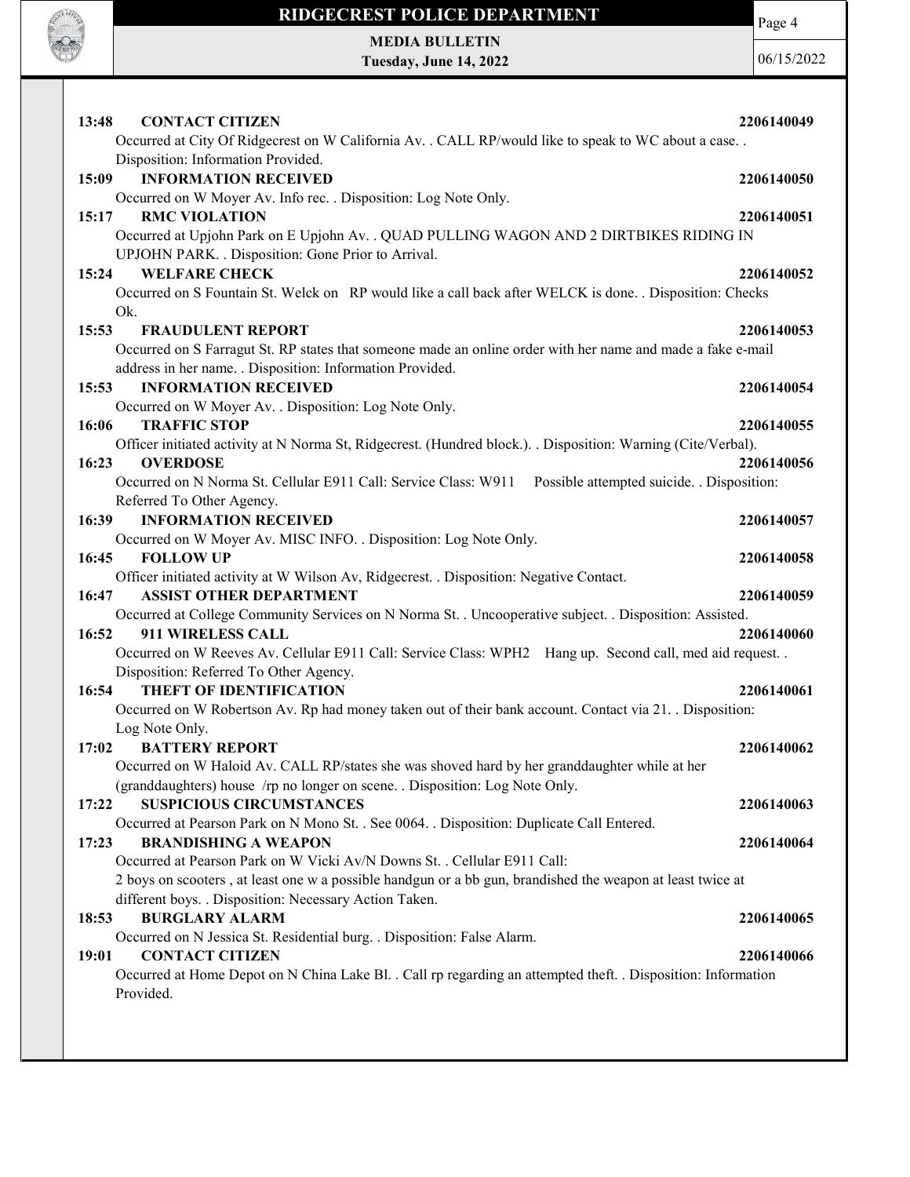

MEDIA BULLETIN Tuesday, June 14, 2022 Page 4

06/15/2022

| <b>CONTACT CITIZEN</b><br>13:48<br>Occurred at City Of Ridgecrest on W California Av. . CALL RP/would like to speak to WC about a case. . | 2206140049 |
|-------------------------------------------------------------------------------------------------------------------------------------------|------------|
| Disposition: Information Provided.                                                                                                        |            |
| <b>INFORMATION RECEIVED</b><br>15:09                                                                                                      | 2206140050 |
| Occurred on W Moyer Av. Info rec. . Disposition: Log Note Only.                                                                           |            |
| 15:17<br><b>RMC VIOLATION</b><br>Occurred at Upjohn Park on E Upjohn Av. . QUAD PULLING WAGON AND 2 DIRTBIKES RIDING IN                   | 2206140051 |
| UPJOHN PARK. . Disposition: Gone Prior to Arrival.                                                                                        |            |
| <b>WELFARE CHECK</b><br>15:24                                                                                                             | 2206140052 |
| Occurred on S Fountain St. Welck on RP would like a call back after WELCK is done. . Disposition: Checks                                  |            |
| Ok.                                                                                                                                       |            |
| 15:53<br><b>FRAUDULENT REPORT</b>                                                                                                         | 2206140053 |
| Occurred on S Farragut St. RP states that someone made an online order with her name and made a fake e-mail                               |            |
| address in her name. . Disposition: Information Provided.                                                                                 |            |
| <b>INFORMATION RECEIVED</b><br>15:53                                                                                                      | 2206140054 |
| Occurred on W Moyer Av. . Disposition: Log Note Only.                                                                                     |            |
| <b>TRAFFIC STOP</b><br>16:06                                                                                                              | 2206140055 |
| Officer initiated activity at N Norma St, Ridgecrest. (Hundred block.). . Disposition: Warning (Cite/Verbal).<br>16:23<br><b>OVERDOSE</b> |            |
| Occurred on N Norma St. Cellular E911 Call: Service Class: W911<br>Possible attempted suicide. . Disposition:                             | 2206140056 |
| Referred To Other Agency.                                                                                                                 |            |
| <b>INFORMATION RECEIVED</b><br>16:39                                                                                                      | 2206140057 |
| Occurred on W Moyer Av. MISC INFO. . Disposition: Log Note Only.                                                                          |            |
| 16:45<br><b>FOLLOW UP</b>                                                                                                                 | 2206140058 |
| Officer initiated activity at W Wilson Av, Ridgecrest. . Disposition: Negative Contact.                                                   |            |
| 16:47<br><b>ASSIST OTHER DEPARTMENT</b>                                                                                                   | 2206140059 |
| Occurred at College Community Services on N Norma St. . Uncooperative subject. . Disposition: Assisted.                                   |            |
| 911 WIRELESS CALL<br>16:52                                                                                                                | 2206140060 |
| Occurred on W Reeves Av. Cellular E911 Call: Service Class: WPH2 Hang up. Second call, med aid request                                    |            |
| Disposition: Referred To Other Agency.                                                                                                    |            |
| <b>THEFT OF IDENTIFICATION</b><br>16:54                                                                                                   | 2206140061 |
| Occurred on W Robertson Av. Rp had money taken out of their bank account. Contact via 21. . Disposition:                                  |            |
| Log Note Only.<br><b>BATTERY REPORT</b><br>17:02                                                                                          | 2206140062 |
| Occurred on W Haloid Av. CALL RP/states she was shoved hard by her granddaughter while at her                                             |            |
| (granddaughters) house /rp no longer on scene. . Disposition: Log Note Only.                                                              |            |
| <b>SUSPICIOUS CIRCUMSTANCES</b><br>17:22                                                                                                  | 2206140063 |
| Occurred at Pearson Park on N Mono St. . See 0064. . Disposition: Duplicate Call Entered.                                                 |            |
| <b>BRANDISHING A WEAPON</b><br>17:23                                                                                                      | 2206140064 |
| Occurred at Pearson Park on W Vicki Av/N Downs St. . Cellular E911 Call:                                                                  |            |
| 2 boys on scooters, at least one w a possible handgun or a bb gun, brandished the weapon at least twice at                                |            |
| different boys. . Disposition: Necessary Action Taken.                                                                                    |            |
| <b>BURGLARY ALARM</b><br>18:53                                                                                                            | 2206140065 |
| Occurred on N Jessica St. Residential burg. . Disposition: False Alarm.                                                                   |            |
| 19:01<br><b>CONTACT CITIZEN</b>                                                                                                           | 2206140066 |
| Occurred at Home Depot on N China Lake Bl. . Call rp regarding an attempted theft. . Disposition: Information<br>Provided.                |            |
|                                                                                                                                           |            |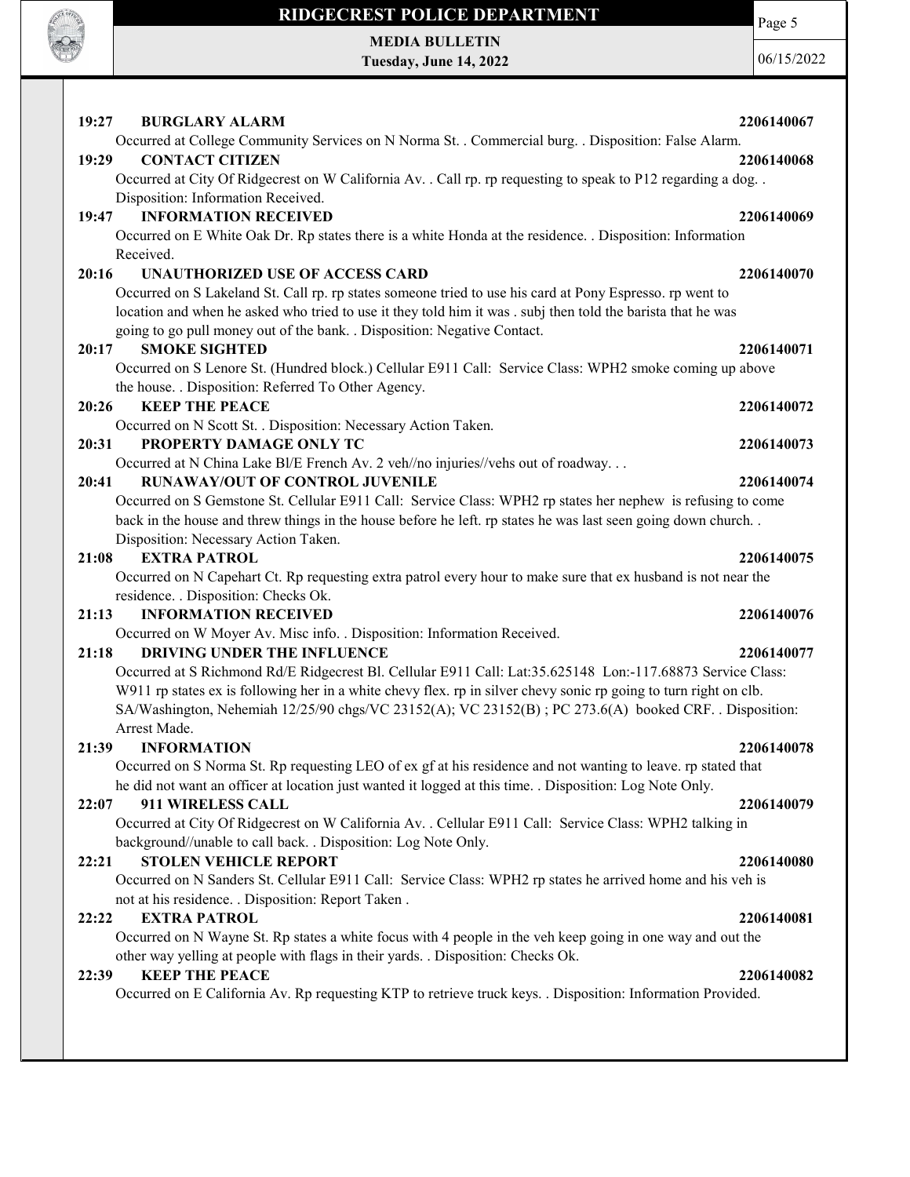

MEDIA BULLETIN Tuesday, June 14, 2022 Page 5 06/15/2022

| 19:27 | <b>BURGLARY ALARM</b>                                                                                               | 2206140067 |
|-------|---------------------------------------------------------------------------------------------------------------------|------------|
|       | Occurred at College Community Services on N Norma St. . Commercial burg. . Disposition: False Alarm.                |            |
| 19:29 | <b>CONTACT CITIZEN</b>                                                                                              | 2206140068 |
|       | Occurred at City Of Ridgecrest on W California Av. . Call rp. rp requesting to speak to P12 regarding a dog. .      |            |
|       | Disposition: Information Received.                                                                                  |            |
| 19:47 | <b>INFORMATION RECEIVED</b>                                                                                         | 2206140069 |
|       | Occurred on E White Oak Dr. Rp states there is a white Honda at the residence. . Disposition: Information           |            |
|       | Received.                                                                                                           |            |
| 20:16 | <b>UNAUTHORIZED USE OF ACCESS CARD</b>                                                                              | 2206140070 |
|       | Occurred on S Lakeland St. Call rp. rp states someone tried to use his card at Pony Espresso. rp went to            |            |
|       | location and when he asked who tried to use it they told him it was . subj then told the barista that he was        |            |
|       | going to go pull money out of the bank. . Disposition: Negative Contact.                                            |            |
| 20:17 | <b>SMOKE SIGHTED</b>                                                                                                | 2206140071 |
|       | Occurred on S Lenore St. (Hundred block.) Cellular E911 Call: Service Class: WPH2 smoke coming up above             |            |
|       | the house. . Disposition: Referred To Other Agency.                                                                 |            |
| 20:26 | <b>KEEP THE PEACE</b>                                                                                               | 2206140072 |
|       | Occurred on N Scott St. . Disposition: Necessary Action Taken.<br>PROPERTY DAMAGE ONLY TC                           |            |
| 20:31 |                                                                                                                     | 2206140073 |
| 20:41 | Occurred at N China Lake Bl/E French Av. 2 veh//no injuries//vehs out of roadway<br>RUNAWAY/OUT OF CONTROL JUVENILE | 2206140074 |
|       | Occurred on S Gemstone St. Cellular E911 Call: Service Class: WPH2 rp states her nephew is refusing to come         |            |
|       | back in the house and threw things in the house before he left. rp states he was last seen going down church        |            |
|       | Disposition: Necessary Action Taken.                                                                                |            |
| 21:08 | <b>EXTRA PATROL</b>                                                                                                 | 2206140075 |
|       | Occurred on N Capehart Ct. Rp requesting extra patrol every hour to make sure that ex husband is not near the       |            |
|       | residence. . Disposition: Checks Ok.                                                                                |            |
| 21:13 | <b>INFORMATION RECEIVED</b>                                                                                         | 2206140076 |
|       | Occurred on W Moyer Av. Misc info. . Disposition: Information Received.                                             |            |
| 21:18 | DRIVING UNDER THE INFLUENCE                                                                                         | 2206140077 |
|       | Occurred at S Richmond Rd/E Ridgecrest Bl. Cellular E911 Call: Lat:35.625148 Lon:-117.68873 Service Class:          |            |
|       | W911 rp states ex is following her in a white chevy flex. rp in silver chevy sonic rp going to turn right on clb.   |            |
|       | SA/Washington, Nehemiah 12/25/90 chgs/VC 23152(A); VC 23152(B); PC 273.6(A) booked CRF. . Disposition:              |            |
|       | Arrest Made.                                                                                                        |            |
| 21:39 | <b>INFORMATION</b>                                                                                                  | 2206140078 |
|       | Occurred on S Norma St. Rp requesting LEO of ex gf at his residence and not wanting to leave. rp stated that        |            |
|       | he did not want an officer at location just wanted it logged at this time. . Disposition: Log Note Only.            |            |
| 22:07 | 911 WIRELESS CALL                                                                                                   | 2206140079 |
|       | Occurred at City Of Ridgecrest on W California Av. . Cellular E911 Call: Service Class: WPH2 talking in             |            |
|       | background//unable to call back. . Disposition: Log Note Only.                                                      |            |
| 22:21 | <b>STOLEN VEHICLE REPORT</b>                                                                                        | 2206140080 |
|       | Occurred on N Sanders St. Cellular E911 Call: Service Class: WPH2 rp states he arrived home and his veh is          |            |
| 22:22 | not at his residence. . Disposition: Report Taken.<br><b>EXTRA PATROL</b>                                           | 2206140081 |
|       | Occurred on N Wayne St. Rp states a white focus with 4 people in the veh keep going in one way and out the          |            |
|       | other way yelling at people with flags in their yards. . Disposition: Checks Ok.                                    |            |
| 22:39 | <b>KEEP THE PEACE</b>                                                                                               | 2206140082 |
|       | Occurred on E California Av. Rp requesting KTP to retrieve truck keys. . Disposition: Information Provided.         |            |
|       |                                                                                                                     |            |
|       |                                                                                                                     |            |
|       |                                                                                                                     |            |